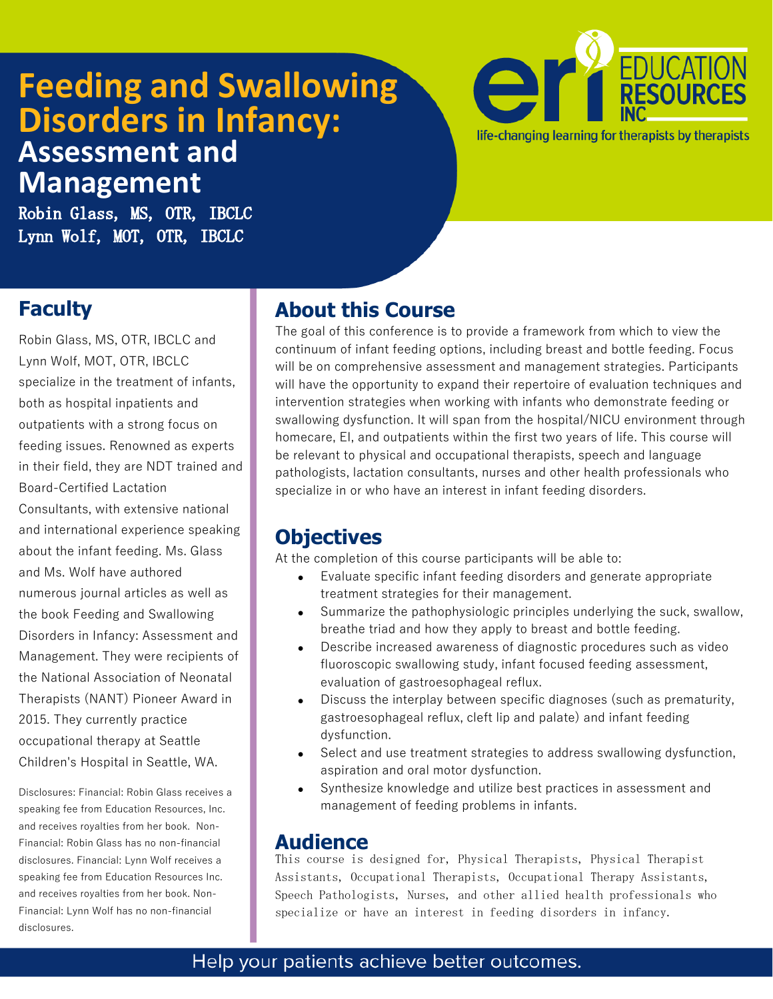# **Feeding and Swallowing Disorders in Infancy: Assessment and Management**



life-changing learning for therapists by therapists

Robin Glass, MS, OTR, IBCLC Lynn Wolf, MOT, OTR, IBCLC

### **Faculty**

Robin Glass, MS, OTR, IBCLC and Lynn Wolf, MOT, OTR, IBCLC specialize in the treatment of infants, both as hospital inpatients and outpatients with a strong focus on feeding issues. Renowned as experts in their field, they are NDT trained and Board-Certified Lactation Consultants, with extensive national and international experience speaking about the infant feeding. Ms. Glass and Ms. Wolf have authored numerous journal articles as well as the book Feeding and Swallowing Disorders in Infancy: Assessment and Management. They were recipients of the National Association of Neonatal Therapists (NANT) Pioneer Award in 2015. They currently practice occupational therapy at Seattle Children's Hospital in Seattle, WA.

Disclosures: Financial: Robin Glass receives a speaking fee from Education Resources, Inc. and receives royalties from her book. Non-Financial: Robin Glass has no non-financial disclosures. Financial: Lynn Wolf receives a speaking fee from Education Resources Inc. and receives royalties from her book. Non-Financial: Lynn Wolf has no non-financial disclosures.

## **About this Course**

The goal of this conference is to provide a framework from which to view the continuum of infant feeding options, including breast and bottle feeding. Focus will be on comprehensive assessment and management strategies. Participants will have the opportunity to expand their repertoire of evaluation techniques and intervention strategies when working with infants who demonstrate feeding or swallowing dysfunction. It will span from the hospital/NICU environment through homecare, EI, and outpatients within the first two years of life. This course will be relevant to physical and occupational therapists, speech and language pathologists, lactation consultants, nurses and other health professionals who specialize in or who have an interest in infant feeding disorders.

### **Objectives**

At the completion of this course participants will be able to:

- Evaluate specific infant feeding disorders and generate appropriate treatment strategies for their management.
- Summarize the pathophysiologic principles underlying the suck, swallow, breathe triad and how they apply to breast and bottle feeding.
- Describe increased awareness of diagnostic procedures such as video fluoroscopic swallowing study, infant focused feeding assessment, evaluation of gastroesophageal reflux.
- Discuss the interplay between specific diagnoses (such as prematurity, gastroesophageal reflux, cleft lip and palate) and infant feeding dysfunction.
- Select and use treatment strategies to address swallowing dysfunction, aspiration and oral motor dysfunction.
- Synthesize knowledge and utilize best practices in assessment and management of feeding problems in infants.

### **Audience**

This course is designed for, Physical Therapists, Physical Therapist Assistants, Occupational Therapists, Occupational Therapy Assistants, Speech Pathologists, Nurses, and other allied health professionals who specialize or have an interest in feeding disorders in infancy.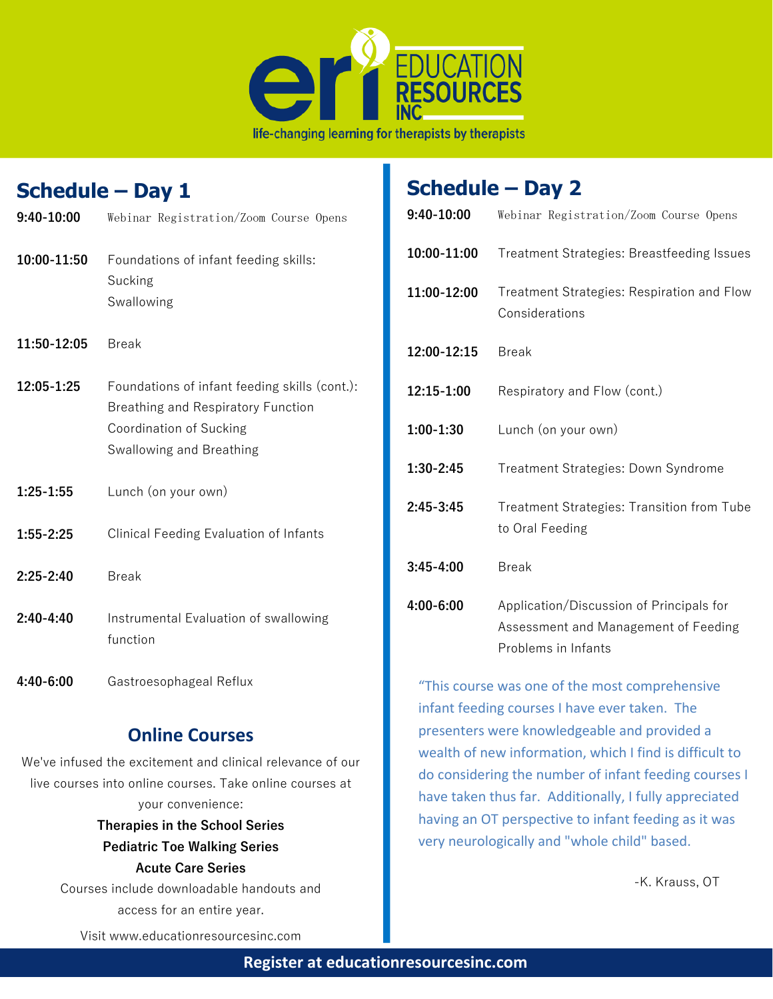

### **Schedule – Day 1**

| 9:40-10:00    | Webinar Registration/Zoom Course Opens                                                                                                            |
|---------------|---------------------------------------------------------------------------------------------------------------------------------------------------|
| 10:00-11:50   | Foundations of infant feeding skills:<br>Sucking<br>Swallowing                                                                                    |
| 11:50-12:05   | <b>Break</b>                                                                                                                                      |
| 12:05-1:25    | Foundations of infant feeding skills (cont.):<br><b>Breathing and Respiratory Function</b><br>Coordination of Sucking<br>Swallowing and Breathing |
| 1:25-1:55     | Lunch (on your own)                                                                                                                               |
| 1:55-2:25     | Clinical Feeding Evaluation of Infants                                                                                                            |
| $2:25 - 2:40$ | <b>Break</b>                                                                                                                                      |
| $2:40-4:40$   | Instrumental Evaluation of swallowing<br>function                                                                                                 |
| 4:40-6:00     | Gastroesophageal Reflux                                                                                                                           |

### **Online Courses**

We've infused the excitement and clinical relevance of our live courses into online courses. Take online courses at your convenience:

> **Therapies in the School Series Pediatric Toe Walking Series Acute Care Series**

Courses include downloadable handouts and access for an entire year.

Visit www.educationresourcesinc.com

# **Schedule – Day 2**

| 9:40-10:00  | Webinar Registration/Zoom Course Opens                                                                  |  |  |
|-------------|---------------------------------------------------------------------------------------------------------|--|--|
| 10:00-11:00 | <b>Treatment Strategies: Breastfeeding Issues</b>                                                       |  |  |
| 11:00-12:00 | Treatment Strategies: Respiration and Flow<br>Considerations                                            |  |  |
| 12:00-12:15 | <b>Break</b>                                                                                            |  |  |
| 12:15-1:00  | Respiratory and Flow (cont.)                                                                            |  |  |
| 1:00-1:30   | Lunch (on your own)                                                                                     |  |  |
| 1:30-2:45   | Treatment Strategies: Down Syndrome                                                                     |  |  |
| $2:45-3:45$ | <b>Treatment Strategies: Transition from Tube</b><br>to Oral Feeding                                    |  |  |
| 3:45-4:00   | <b>Break</b>                                                                                            |  |  |
| 4:00-6:00   | Application/Discussion of Principals for<br>Assessment and Management of Feeding<br>Problems in Infants |  |  |

"This course was one of the most comprehensive infant feeding courses I have ever taken. The presenters were knowledgeable and provided a wealth of new information, which I find is difficult to do considering the number of infant feeding courses I have taken thus far. Additionally, I fully appreciated having an OT perspective to infant feeding as it was very neurologically and "whole child" based.

-K. Krauss, OT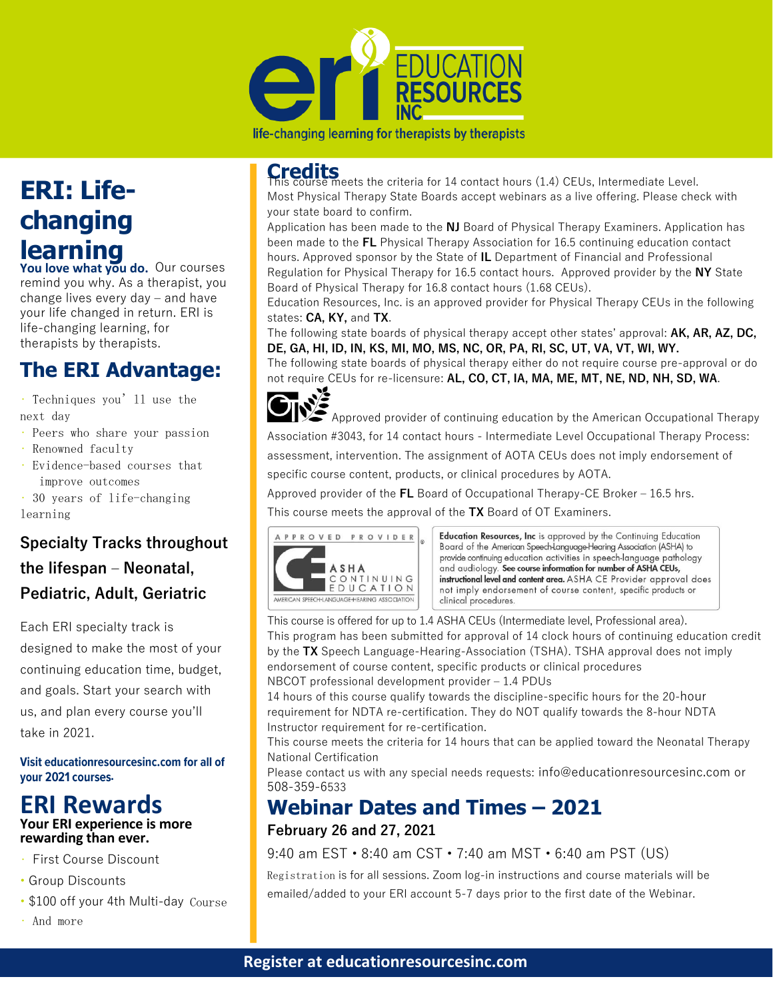

life-changing learning for therapists by therapists

# **ERI: Lifechanging learning**

You love what you do. Our courses remind you why. As a therapist, you change lives every day – and have your life changed in return. ERI is life-changing learning, for therapists by therapists.

# **The ERI Advantage:**

• Techniques you'll use the next day

- Peers who share your passion
- Renowned faculty
- Evidence-based courses that improve outcomes

• 30 years of life-changing learning

### **Specialty Tracks throughout the lifespan – Neonatal, Pediatric, Adult, Geriatric**

Each ERI specialty track is designed to make the most of your continuing education time, budget, and goals. Start your search with us, and plan every course you'll take in 2021.

Visit educationresourcesinc.com for all of vour 2021 courses.

### **ERI Rewards Your ERI experience is more rewarding than ever.**

- First Course Discount
- Group Discounts
- \$100 off your 4th Multi-day Course

apply. Visit our website for details and

• And more

**Credits**<br>This course meets the criteria for 14 contact hours (1.4) CEUs, Intermediate Level. Most Physical Therapy State Boards accept webinars as a live offering. Please check with your state board to confirm.

Application has been made to the **NJ** Board of Physical Therapy Examiners. Application has been made to the **FL** Physical Therapy Association for 16.5 continuing education contact hours. Approved sponsor by the State of **IL** Department of Financial and Professional Regulation for Physical Therapy for 16.5 contact hours. Approved provider by the **NY** State Board of Physical Therapy for 16.8 contact hours (1.68 CEUs).

Education Resources, Inc. is an approved provider for Physical Therapy CEUs in the following states: **CA, KY,** and **TX**.

The following state boards of physical therapy accept other states' approval: **AK, AR, AZ, DC, DE, GA, HI, ID, IN, KS, MI, MO, MS, NC, OR, PA, RI, SC, UT, VA, VT, WI, WY.** 

The following state boards of physical therapy either do not require course pre-approval or do not require CEUs for re-licensure: **AL, CO, CT, IA, MA, ME, MT, NE, ND, NH, SD, WA.**<br> **CH, NZ** 



Approved provider of continuing education by the American Occupational Therapy Association #3043, for 14 contact hours - Intermediate Level Occupational Therapy Process:

assessment, intervention. The assignment of AOTA CEUs does not imply endorsement of

specific course content, products, or clinical procedures by AOTA.

Approved provider of the **FL** Board of Occupational Therapy-CE Broker – 16.5 hrs.

This course meets the approval of the **TX** Board of OT Examiners.



Education Resources, Inc is approved by the Continuing Education Board of the American Speech-Language-Hearing Association (ASHA) to provide continuing education activities in speech-language pathology and audiology. See course information for number of ASHA CEUs, instructional level and content area. ASHA CE Provider approval does not imply endorsement of course content, specific products or clinical procedures.

This course is offered for up to 1.4 ASHA CEUs (Intermediate level, Professional area). This program has been submitted for approval of 14 clock hours of continuing education credit by the **TX** Speech Language-Hearing-Association (TSHA). TSHA approval does not imply endorsement of course content, specific products or clinical procedures NBCOT professional development provider – 1.4 PDUs

14 hours of this course qualify towards the discipline-specific hours for the 20-hour requirement for NDTA re-certification. They do NOT qualify towards the 8-hour NDTA Instructor requirement for re-certification.

This course meets the criteria for 14 hours that can be applied toward the Neonatal Therapy National Certification

Please contact us with any special needs requests: info@educationresourcesinc.com or 508-359-6533

### **Webinar Dates and Times – 2021 February 26 and 27, 2021**

9:40 am EST • 8:40 am CST • 7:40 am MST • 6:40 am PST (US)

Registration is for all sessions. Zoom log-in instructions and course materials will be emailed/added to your ERI account 5-7 days prior to the first date of the Webinar.

### **Register at educationresourcesinc.com**